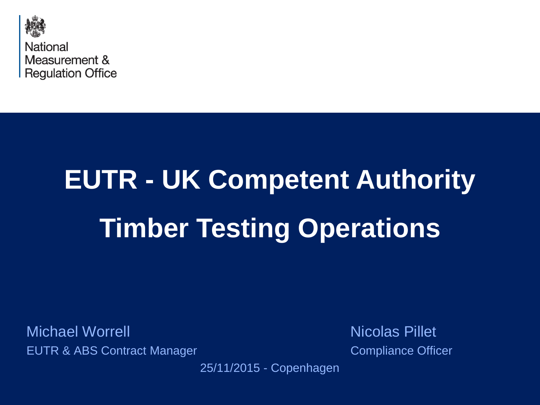

# **EUTR - UK Competent Authority Timber Testing Operations**

Michael Worrell **Nicolas Pillet** EUTR & ABS Contract Manager Compliance Officer

25/11/2015 - Copenhagen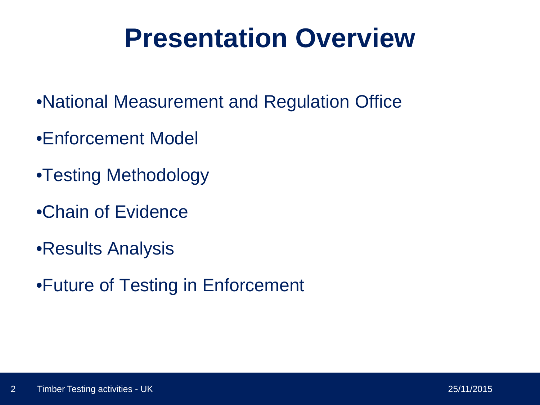### **Presentation Overview**

- •National Measurement and Regulation Office
- •Enforcement Model
- •Testing Methodology
- •Chain of Evidence
- •Results Analysis
- •Future of Testing in Enforcement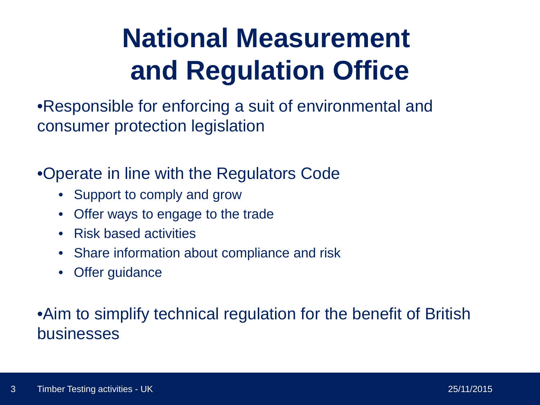### **National Measurement and Regulation Office**

•Responsible for enforcing a suit of environmental and consumer protection legislation

•Operate in line with the Regulators Code

- Support to comply and grow
- Offer ways to engage to the trade
- Risk based activities
- Share information about compliance and risk
- Offer guidance

### •Aim to simplify technical regulation for the benefit of British businesses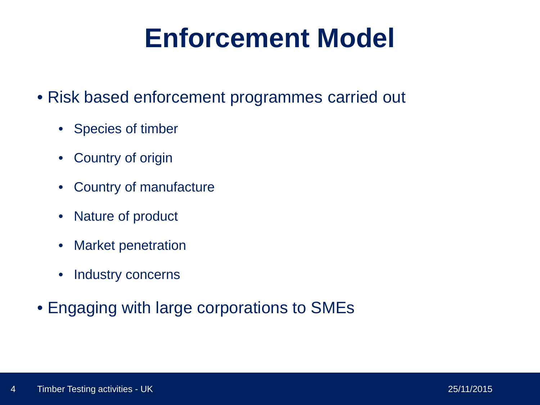### **Enforcement Model**

- Risk based enforcement programmes carried out
	- Species of timber
	- Country of origin
	- Country of manufacture
	- Nature of product
	- Market penetration
	- Industry concerns
- Engaging with large corporations to SMEs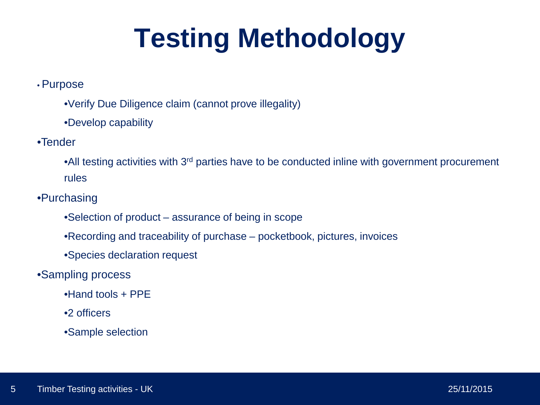### **Testing Methodology**

#### • Purpose

- •Verify Due Diligence claim (cannot prove illegality)
- •Develop capability

#### •Tender

•All testing activities with 3<sup>rd</sup> parties have to be conducted inline with government procurement rules

#### •Purchasing

- •Selection of product assurance of being in scope
- •Recording and traceability of purchase pocketbook, pictures, invoices
- •Species declaration request

#### •Sampling process

- •Hand tools + PPE
- •2 officers
- •Sample selection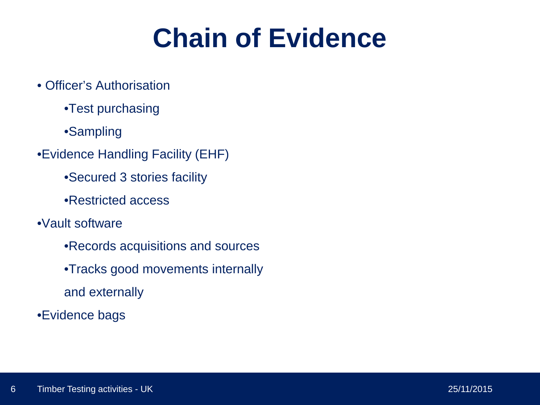### **Chain of Evidence**

- Officer's Authorisation
	- •Test purchasing
	- •Sampling
- •Evidence Handling Facility (EHF)
	- •Secured 3 stories facility
	- •Restricted access
- •Vault software
	- •Records acquisitions and sources
	- •Tracks good movements internally
	- and externally
- •Evidence bags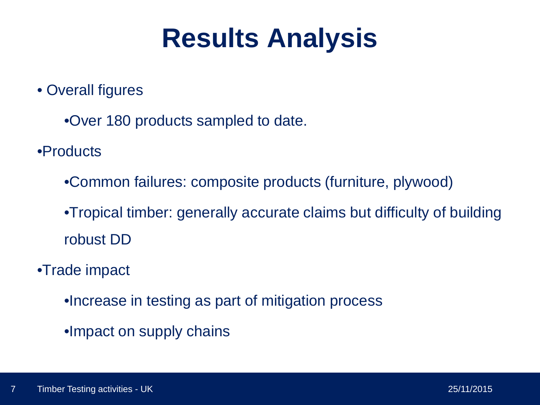### **Results Analysis**

• Overall figures

•Over 180 products sampled to date.

•Products

•Common failures: composite products (furniture, plywood)

•Tropical timber: generally accurate claims but difficulty of building robust DD

•Trade impact

•Increase in testing as part of mitigation process

•Impact on supply chains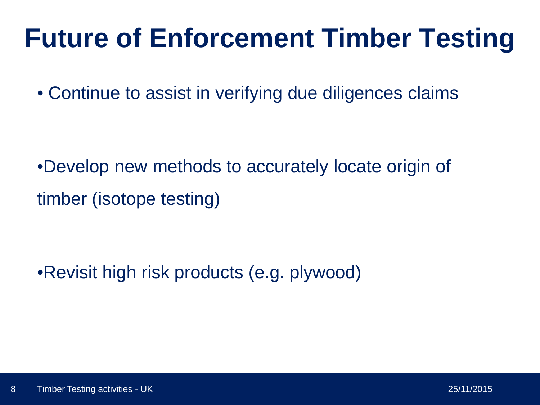### **Future of Enforcement Timber Testing**

• Continue to assist in verifying due diligences claims

•Develop new methods to accurately locate origin of timber (isotope testing)

•Revisit high risk products (e.g. plywood)